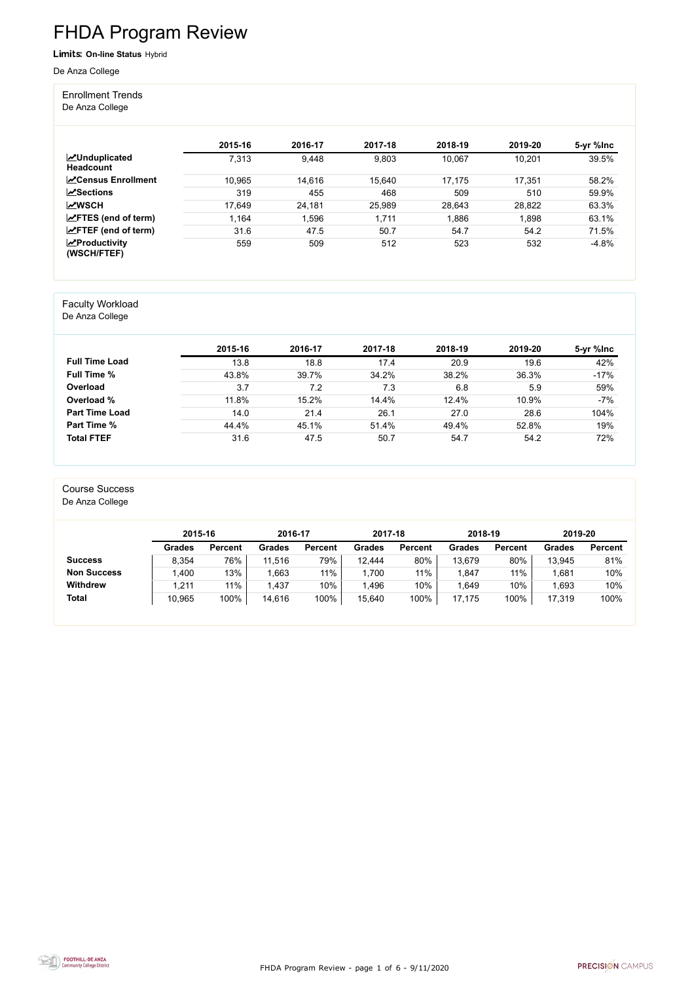FHDA Program Review - page 1 of 6 - 9/11/2020



# FHDA Program Review

Limits: **On-line Status** Hybrid

De Anza College

Enrollment Trends

De Anza College

|                                          | 2015-16 | 2016-17 | 2017-18 | 2018-19 | 2019-20 | 5-yr %lnc |
|------------------------------------------|---------|---------|---------|---------|---------|-----------|
| <b>MUnduplicated</b><br><b>Headcount</b> | 7,313   | 9,448   | 9,803   | 10,067  | 10,201  | 39.5%     |
| <b>∠</b> Census Enrollment               | 10,965  | 14,616  | 15,640  | 17,175  | 17,351  | 58.2%     |
| $\sqrt{S}$ ections                       | 319     | 455     | 468     | 509     | 510     | 59.9%     |
| <b>MWSCH</b>                             | 17,649  | 24,181  | 25,989  | 28,643  | 28,822  | 63.3%     |
| $\angle$ FTES (end of term)              | 1,164   | ,596    | 1,711   | 1,886   | 1,898   | 63.1%     |
| $\angle$ FTEF (end of term)              | 31.6    | 47.5    | 50.7    | 54.7    | 54.2    | 71.5%     |
| $\mathbf{z}$ Productivity<br>(WSCH/FTEF) | 559     | 509     | 512     | 523     | 532     | $-4.8%$   |

#### Faculty Workload

De Anza College

|                       | 2015-16 | 2016-17 | 2017-18 | 2018-19 | 2019-20 | 5-yr %lnc |
|-----------------------|---------|---------|---------|---------|---------|-----------|
| <b>Full Time Load</b> | 13.8    | 18.8    | 17.4    | 20.9    | 19.6    | 42%       |
| <b>Full Time %</b>    | 43.8%   | 39.7%   | 34.2%   | 38.2%   | 36.3%   | $-17%$    |
| Overload              | 3.7     | 7.2     | 7.3     | 6.8     | 5.9     | 59%       |
| Overload %            | 11.8%   | 15.2%   | 14.4%   | 12.4%   | 10.9%   | $-7%$     |
| <b>Part Time Load</b> | 14.0    | 21.4    | 26.1    | 27.0    | 28.6    | 104%      |
| <b>Part Time %</b>    | 44.4%   | 45.1%   | 51.4%   | 49.4%   | 52.8%   | 19%       |
| <b>Total FTEF</b>     | 31.6    | 47.5    | 50.7    | 54.7    | 54.2    | 72%       |

#### Course Success

De Anza College

|                    | 2015-16       |                | 2016-17       |                | 2017-18 |                | 2018-19       |                | 2019-20       |                |
|--------------------|---------------|----------------|---------------|----------------|---------|----------------|---------------|----------------|---------------|----------------|
|                    | <b>Grades</b> | <b>Percent</b> | <b>Grades</b> | <b>Percent</b> | Grades  | <b>Percent</b> | <b>Grades</b> | <b>Percent</b> | <b>Grades</b> | <b>Percent</b> |
| <b>Success</b>     | 8,354         | 76%            | 11,516        | 79%            | 12,444  | 80%            | 13,679        | 80%            | 13,945        | 81%            |
| <b>Non Success</b> | ,400          | 13%            | .663          | $11\%$         | 1,700   | 11%            | .847          | 11%            | 1,681         | 10%            |
| <b>Withdrew</b>    | 1,211         | 11%            | .437          | 10%            | l.496   | 10%            | .649          | 10%            | 1,693         | 10%            |
| <b>Total</b>       | 10,965        | 100%           | 14,616        | 100%           | 15,640  | 100%           | 17,175        | 100%           | 17,319        | 100%           |

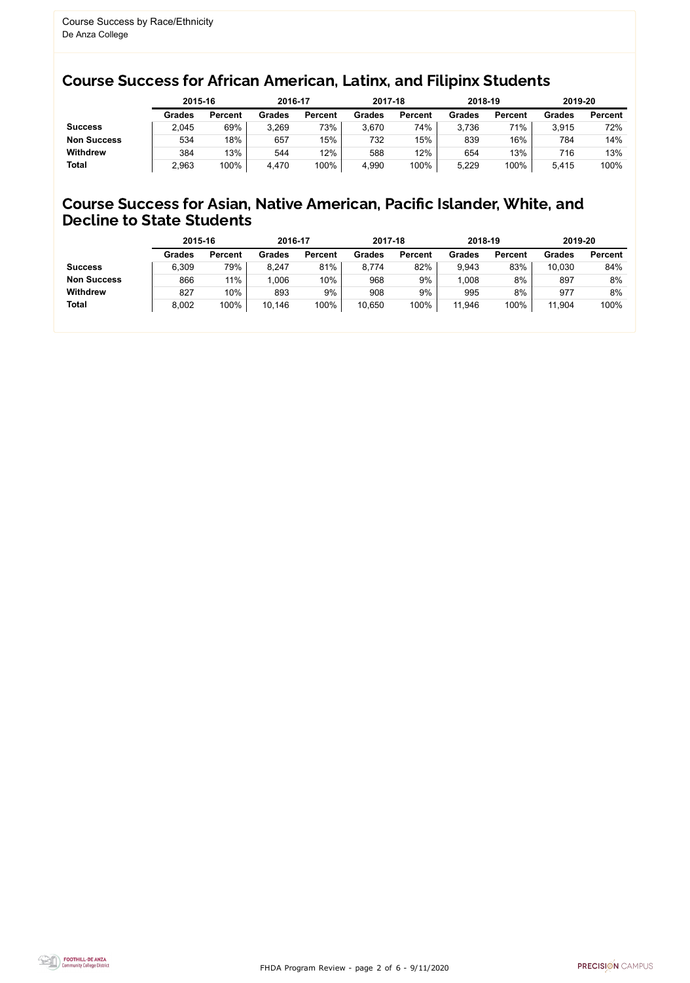FHDA Program Review - page 2 of 6 - 9/11/2020



#### Course Success for African American, Latinx, and Filipinx Students

#### Course Success for Asian, Native American, Pacific Islander, White, and Decline to State Students

|                    |               | 2015-16        |               | 2016-17        |               | 2017-18        |               | 2018-19        | 2019-20       |                |
|--------------------|---------------|----------------|---------------|----------------|---------------|----------------|---------------|----------------|---------------|----------------|
|                    | <b>Grades</b> | <b>Percent</b> | <b>Grades</b> | <b>Percent</b> | <b>Grades</b> | <b>Percent</b> | <b>Grades</b> | <b>Percent</b> | <b>Grades</b> | <b>Percent</b> |
| <b>Success</b>     | 2,045         | 69%            | 3,269         | 73%            | 3,670         | 74%            | 3,736         | 71%            | 3,915         | 72%            |
| <b>Non Success</b> | 534           | 18%            | 657           | 15%            | 732           | 15%            | 839           | 16%            | 784           | 14%            |
| <b>Withdrew</b>    | 384           | 13%            | 544           | 12%            | 588           | 12%            | 654           | 13%            | 716           | 13%            |
| <b>Total</b>       | 2,963         | 100%           | 4,470         | 100%           | 4,990         | 100%           | 5,229         | 100%           | 5,415         | 100%           |

|                    | 2015-16       |                | 2016-17       |                | 2017-18       |                | 2018-19       |                | 2019-20       |                |
|--------------------|---------------|----------------|---------------|----------------|---------------|----------------|---------------|----------------|---------------|----------------|
|                    | <b>Grades</b> | <b>Percent</b> | <b>Grades</b> | <b>Percent</b> | <b>Grades</b> | <b>Percent</b> | <b>Grades</b> | <b>Percent</b> | <b>Grades</b> | <b>Percent</b> |
| <b>Success</b>     | 6,309         | 79%            | 8,247         | 81%            | 8,774         | 82%            | 9,943         | 83%            | 10,030        | 84%            |
| <b>Non Success</b> | 866           | 11%            | 1,006         | 10%            | 968           | 9%             | .008          | 8%             | 897           | 8%             |
| <b>Withdrew</b>    | 827           | 10%            | 893           | 9%             | 908           | 9%             | 995           | 8%             | 977           | 8%             |
| <b>Total</b>       | 8,002         | 100%           | 10,146        | 100%           | 10,650        | 100%           | 11,946        | 100%           | 11,904        | 100%           |
|                    |               |                |               |                |               |                |               |                |               |                |

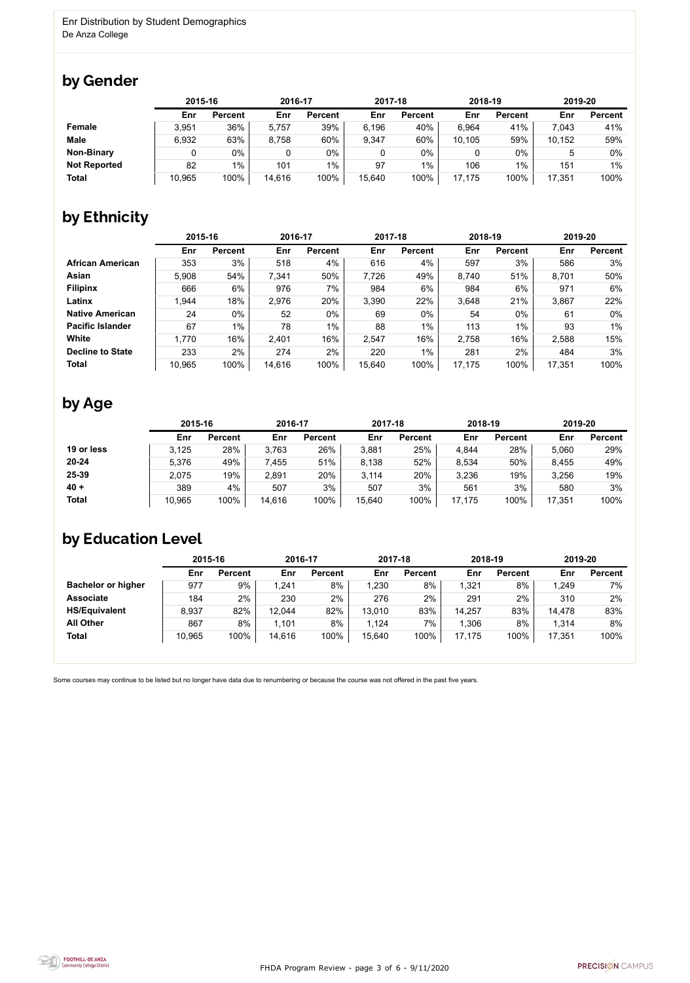FHDA Program Review - page 3 of 6 - 9/11/2020



Some courses may continue to be listed but no longer have data due to renumbering or because the course was not offered in the past five years.



### by Gender

|                     |        | 2015-16        |        | 2016-17        |        | 2017-18        |        | 2018-19        |                 | 2019-20        |  |
|---------------------|--------|----------------|--------|----------------|--------|----------------|--------|----------------|-----------------|----------------|--|
|                     | Enr    | <b>Percent</b> | Enr    | <b>Percent</b> | Enr    | <b>Percent</b> | Enr    | <b>Percent</b> | Enr             | <b>Percent</b> |  |
| <b>Female</b>       | 3,951  | 36%            | 5,757  | 39%            | 6.196  | 40%            | 6,964  | 41%            | 7,043           | 41%            |  |
| <b>Male</b>         | 6,932  | 63%            | 8,758  | 60%            | 9,347  | 60%            | 10,105 | 59%            | 10,152          | 59%            |  |
| <b>Non-Binary</b>   |        | 0%             |        | $0\%$          | 0      | 0%             |        | $0\%$          |                 | 0%             |  |
| <b>Not Reported</b> | 82     | $1\%$          | 101    | $1\%$          | 97     | $1\%$          | 106    | $1\%$          | 15 <sup>′</sup> | 1%             |  |
| <b>Total</b>        | 10,965 | 100%           | 14,616 | 100%           | 15,640 | 100%           | 17,175 | 100%           | 17,351          | 100%           |  |

## by Ethnicity

|                         | 2015-16 |                | 2016-17 |                | 2017-18 |                | 2018-19 |                | 2019-20 |                |
|-------------------------|---------|----------------|---------|----------------|---------|----------------|---------|----------------|---------|----------------|
|                         | Enr     | <b>Percent</b> | Enr     | <b>Percent</b> | Enr     | <b>Percent</b> | Enr     | <b>Percent</b> | Enr     | <b>Percent</b> |
| <b>African American</b> | 353     | 3%             | 518     | 4%             | 616     | 4%             | 597     | 3%             | 586     | 3%             |
| Asian                   | 5,908   | 54%            | 7,341   | 50%            | 7,726   | 49%            | 8,740   | 51%            | 8,701   | 50%            |
| <b>Filipinx</b>         | 666     | 6%             | 976     | 7%             | 984     | 6%             | 984     | 6%             | 971     | $6\%$          |
| Latinx                  | 1,944   | 18%            | 2,976   | 20%            | 3,390   | 22%            | 3,648   | 21%            | 3,867   | 22%            |
| <b>Native American</b>  | 24      | $0\%$          | 52      | 0%             | 69      | 0%             | 54      | $0\%$          | 61      | 0%             |
| <b>Pacific Islander</b> | 67      | $1\%$          | 78      | $1\%$          | 88      | $1\%$          | 113     | 1%             | 93      | $1\%$          |
| White                   | 1,770   | 16%            | 2,401   | 16%            | 2,547   | 16%            | 2,758   | 16%            | 2,588   | 15%            |
| <b>Decline to State</b> | 233     | 2%             | 274     | 2%             | 220     | $1\%$          | 281     | 2%             | 484     | 3%             |
| <b>Total</b>            | 10,965  | 100%           | 14,616  | 100%           | 15,640  | 100%           | 17,175  | 100%           | 17,351  | 100%           |

### by Age

|              | 2015-16 |                | 2016-17 |                | 2017-18 |                | 2018-19 |                | 2019-20 |                |
|--------------|---------|----------------|---------|----------------|---------|----------------|---------|----------------|---------|----------------|
|              | Enr     | <b>Percent</b> | Enr     | <b>Percent</b> | Enr     | <b>Percent</b> | Enr     | <b>Percent</b> | Enr     | <b>Percent</b> |
| 19 or less   | 3,125   | 28%            | 3,763   | 26%            | 3,881   | 25%            | 4,844   | 28%            | 5,060   | 29%            |
| $20 - 24$    | 5,376   | 49%            | 7,455   | 51%            | 8,138   | 52%            | 8,534   | 50%            | 8,455   | 49%            |
| 25-39        | 2,075   | 19%            | 2,891   | 20%            | 3,114   | 20%            | 3,236   | 19%            | 3,256   | 19%            |
| $40 +$       | 389     | 4%             | 507     | 3%             | 507     | 3%             | 561     | 3%             | 580     | 3%             |
| <b>Total</b> | 10,965  | 100%           | 14,616  | 100%           | 15,640  | 100%           | 17,175  | 100%           | 17,351  | 100%           |

### by Education Level

|                           | 2015-16 |                | 2016-17 |                | 2017-18 |                | 2018-19 |                | 2019-20 |                |
|---------------------------|---------|----------------|---------|----------------|---------|----------------|---------|----------------|---------|----------------|
|                           | Enr     | <b>Percent</b> | Enr     | <b>Percent</b> | Enr     | <b>Percent</b> | Enr     | <b>Percent</b> | Enr     | <b>Percent</b> |
| <b>Bachelor or higher</b> | 977     | 9%             | 1,241   | 8%             | .230    | 8%             | 1,321   | 8%             | 1,249   | 7%             |
| <b>Associate</b>          | 184     | 2%             | 230     | 2%             | 276     | 2%             | 291     | 2%             | 310     | 2%             |
| <b>HS/Equivalent</b>      | 8,937   | 82%            | 12,044  | 82%            | 13,010  | 83%            | 14,257  | 83%            | 14,478  | 83%            |
| <b>All Other</b>          | 867     | 8%             | 1,101   | 8%             | 1,124   | $7\%$          | 1,306   | 8%             | 1,314   | 8%             |
| <b>Total</b>              | 10,965  | 100%           | 14,616  | 100%           | 15,640  | 100%           | 17,175  | 100%           | 17,351  | 100%           |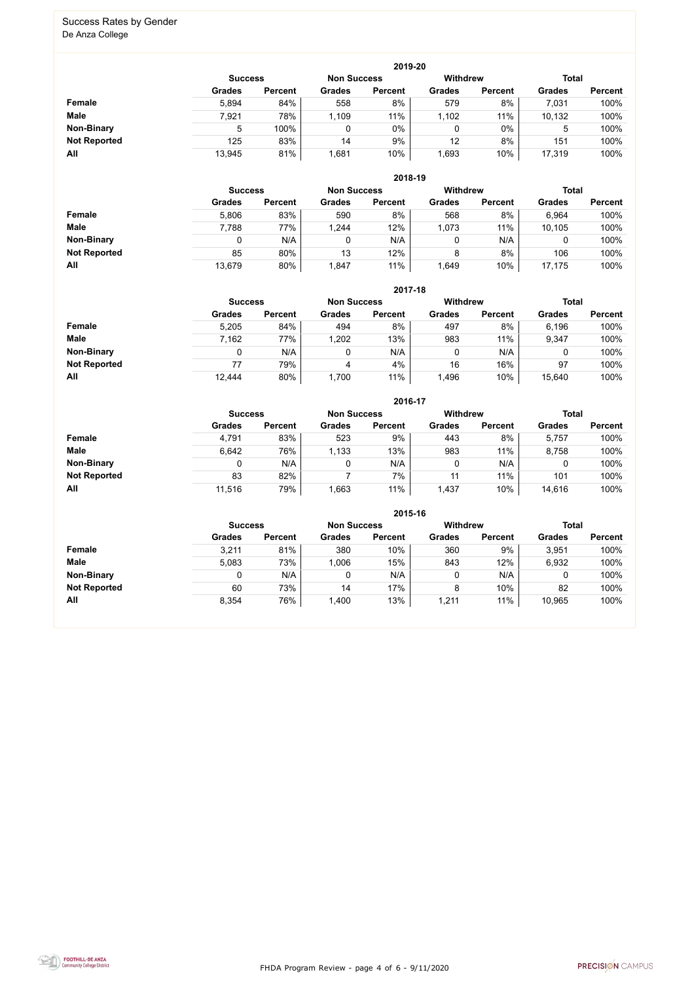FHDA Program Review - page 4 of 6 - 9/11/2020



#### Success Rates by Gender De Anza College

|                     | 2019-20        |                |                    |                |                 |                |               |                |  |  |  |  |  |
|---------------------|----------------|----------------|--------------------|----------------|-----------------|----------------|---------------|----------------|--|--|--|--|--|
|                     | <b>Success</b> |                | <b>Non Success</b> |                | <b>Withdrew</b> |                | <b>Total</b>  |                |  |  |  |  |  |
|                     | <b>Grades</b>  | <b>Percent</b> | <b>Grades</b>      | <b>Percent</b> | <b>Grades</b>   | <b>Percent</b> | <b>Grades</b> | <b>Percent</b> |  |  |  |  |  |
| Female              | 5,894          | 84%            | 558                | 8%             | 579             | 8%             | 7,031         | 100%           |  |  |  |  |  |
| <b>Male</b>         | 7,921          | 78%            | 1,109              | 11%            | 1,102           | 11%            | 10,132        | 100%           |  |  |  |  |  |
| <b>Non-Binary</b>   | 5              | 100%           | $\mathbf{0}$       | 0%             |                 | $0\%$          | 5             | 100%           |  |  |  |  |  |
| <b>Not Reported</b> | 125            | 83%            | 14                 | 9%             | 12              | 8%             | 151           | 100%           |  |  |  |  |  |
| All                 | 13,945         | 81%            | ,681               | 10%            | ,693            | 10%            | 17,319        | 100%           |  |  |  |  |  |

|                     |               | 2018-19                              |               |                |               |                |               |                |  |  |  |  |  |
|---------------------|---------------|--------------------------------------|---------------|----------------|---------------|----------------|---------------|----------------|--|--|--|--|--|
|                     |               | <b>Non Success</b><br><b>Success</b> |               |                |               |                | <b>Total</b>  |                |  |  |  |  |  |
|                     | <b>Grades</b> | <b>Percent</b>                       | <b>Grades</b> | <b>Percent</b> | <b>Grades</b> | <b>Percent</b> | <b>Grades</b> | <b>Percent</b> |  |  |  |  |  |
| Female              | 5,806         | 83%                                  | 590           | 8%             | 568           | 8%             | 6,964         | 100%           |  |  |  |  |  |
| <b>Male</b>         | 7,788         | 77%                                  | 1,244         | 12%            | 1,073         | 11%            | 10,105        | 100%           |  |  |  |  |  |
| <b>Non-Binary</b>   |               | N/A                                  | 0             | N/A            | 0             | N/A            |               | 100%           |  |  |  |  |  |
| <b>Not Reported</b> | 85            | 80%                                  | 13            | 12%            | 8             | 8%             | 106           | 100%           |  |  |  |  |  |
| All                 | 13,679        | 80%                                  | 1,847         | 11%            | 1,649         | 10%            | 17,175        | 100%           |  |  |  |  |  |

|                     |               | 2017-18                              |               |                |               |                |               |                |  |  |  |  |  |
|---------------------|---------------|--------------------------------------|---------------|----------------|---------------|----------------|---------------|----------------|--|--|--|--|--|
|                     |               | <b>Non Success</b><br><b>Success</b> |               |                |               |                | <b>Total</b>  |                |  |  |  |  |  |
|                     | <b>Grades</b> | <b>Percent</b>                       | <b>Grades</b> | <b>Percent</b> | <b>Grades</b> | <b>Percent</b> | <b>Grades</b> | <b>Percent</b> |  |  |  |  |  |
| Female              | 5,205         | 84%                                  | 494           | 8%             | 497           | 8%             | 6,196         | 100%           |  |  |  |  |  |
| <b>Male</b>         | 7,162         | 77%                                  | 1,202         | 13%            | 983           | 11%            | 9,347         | 100%           |  |  |  |  |  |
| <b>Non-Binary</b>   | 0             | N/A                                  | 0             | N/A            | 0             | N/A            | 0             | 100%           |  |  |  |  |  |
| <b>Not Reported</b> | 77            | 79%                                  | 4             | 4%             | 16            | 16%            | 97            | 100%           |  |  |  |  |  |
| All                 | 12,444        | 80%                                  | 1,700         | 11%            | 1,496         | 10%            | 15,640        | 100%           |  |  |  |  |  |

|                     |                |                |                    | 2016-17        |                 |                |               |                |
|---------------------|----------------|----------------|--------------------|----------------|-----------------|----------------|---------------|----------------|
|                     | <b>Success</b> |                | <b>Non Success</b> |                | <b>Withdrew</b> |                | <b>Total</b>  |                |
|                     | <b>Grades</b>  | <b>Percent</b> | <b>Grades</b>      | <b>Percent</b> | <b>Grades</b>   | <b>Percent</b> | <b>Grades</b> | <b>Percent</b> |
| Female              | 4,791          | 83%            | 523                | 9%             | 443             | 8%             | 5,757         | 100%           |
| <b>Male</b>         | 6,642          | 76%            | 1,133              | 13%            | 983             | 11%            | 8,758         | 100%           |
| <b>Non-Binary</b>   | 0              | N/A            |                    | N/A            | 0               | N/A            | 0             | 100%           |
| <b>Not Reported</b> | 83             | 82%            |                    | 7%             | 11              | 11%            | 101           | 100%           |
| All                 | 11,516         | 79%            | 1,663              | 11%            | 1,437           | 10%            | 14,616        | 100%           |

|                     |               | 2015-16                                                 |               |                |               |                |               |                |  |  |
|---------------------|---------------|---------------------------------------------------------|---------------|----------------|---------------|----------------|---------------|----------------|--|--|
|                     |               | <b>Withdrew</b><br><b>Non Success</b><br><b>Success</b> |               |                |               |                | <b>Total</b>  |                |  |  |
|                     | <b>Grades</b> | <b>Percent</b>                                          | <b>Grades</b> | <b>Percent</b> | <b>Grades</b> | <b>Percent</b> | <b>Grades</b> | <b>Percent</b> |  |  |
| Female              | 3,211         | 81%                                                     | 380           | 10%            | 360           | 9%             | 3,951         | 100%           |  |  |
| <b>Male</b>         | 5.083         | 73%                                                     | 1,006         | 15%            | 843           | 12%            | 6,932         | 100%           |  |  |
| <b>Non-Binary</b>   | 0             | N/A                                                     | 0             | N/A            |               | N/A            | 0             | 100%           |  |  |
| <b>Not Reported</b> | 60            | 73%                                                     | 14            | 17%            | 8             | 10%            | 82            | 100%           |  |  |
| All                 | 8,354         | 76%                                                     | 1,400         | 13%            | 1,211         | 11%            | 10,965        | 100%           |  |  |

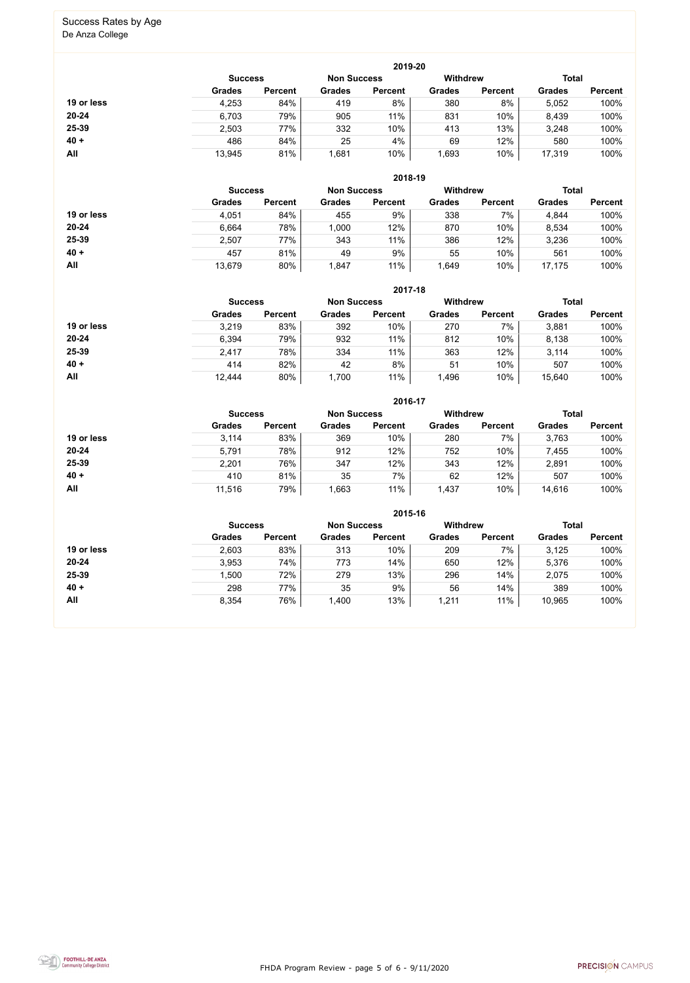FHDA Program Review - page 5 of 6 - 9/11/2020



# Success Rates by Age

De Anza College

|            |                |                    |               | 2019-20         |               |                |               |                |
|------------|----------------|--------------------|---------------|-----------------|---------------|----------------|---------------|----------------|
|            | <b>Success</b> | <b>Non Success</b> |               | <b>Withdrew</b> |               | <b>Total</b>   |               |                |
|            | <b>Grades</b>  | <b>Percent</b>     | <b>Grades</b> | <b>Percent</b>  | <b>Grades</b> | <b>Percent</b> | <b>Grades</b> | <b>Percent</b> |
| 19 or less | 4,253          | 84%                | 419           | 8%              | 380           | 8%             | 5,052         | 100%           |
| $20 - 24$  | 6,703          | 79%                | 905           | 11%             | 831           | 10%            | 8,439         | 100%           |
| 25-39      | 2,503          | 77%                | 332           | 10%             | 413           | 13%            | 3,248         | 100%           |
| $40 +$     | 486            | 84%                | 25            | 4%              | 69            | 12%            | 580           | 100%           |
| All        | 13,945         | 81%                | ,681          | 10%             | 1,693         | 10%            | 17,319        | 100%           |

|            |                |                    |               | 2018-19         |               |                |               |                |
|------------|----------------|--------------------|---------------|-----------------|---------------|----------------|---------------|----------------|
|            | <b>Success</b> | <b>Non Success</b> |               | <b>Withdrew</b> |               | <b>Total</b>   |               |                |
|            | <b>Grades</b>  | <b>Percent</b>     | <b>Grades</b> | <b>Percent</b>  | <b>Grades</b> | <b>Percent</b> | <b>Grades</b> | <b>Percent</b> |
| 19 or less | 4,051          | 84%                | 455           | 9%              | 338           | 7%             | 4,844         | 100%           |
| $20 - 24$  | 6,664          | 78%                | 1,000         | 12%             | 870           | 10%            | 8,534         | 100%           |
| 25-39      | 2,507          | 77%                | 343           | 11%             | 386           | 12%            | 3,236         | 100%           |
| $40 +$     | 457            | 81%                | 49            | 9%              | 55            | 10%            | 561           | 100%           |
| All        | 13,679         | 80%                | 1,847         | 11%             | 1,649         | 10%            | 17,175        | 100%           |

|            | 2017-18                                                 |                |               |                |               |                |               |                |  |  |
|------------|---------------------------------------------------------|----------------|---------------|----------------|---------------|----------------|---------------|----------------|--|--|
|            | <b>Withdrew</b><br><b>Non Success</b><br><b>Success</b> |                |               |                |               |                |               | <b>Total</b>   |  |  |
|            | <b>Grades</b>                                           | <b>Percent</b> | <b>Grades</b> | <b>Percent</b> | <b>Grades</b> | <b>Percent</b> | <b>Grades</b> | <b>Percent</b> |  |  |
| 19 or less | 3,219                                                   | 83%            | 392           | 10%            | 270           | 7%             | 3,881         | 100%           |  |  |
| $20 - 24$  | 6,394                                                   | 79%            | 932           | 11%            | 812           | 10%            | 8,138         | 100%           |  |  |
| 25-39      | 2,417                                                   | 78%            | 334           | 11%            | 363           | 12%            | 3,114         | 100%           |  |  |
| $40 +$     | 414                                                     | 82%            | 42            | 8%             | 51            | 10%            | 507           | 100%           |  |  |
| All        | 12,444                                                  | 80%            | 1,700         | 11%            | 1,496         | 10%            | 15,640        | 100%           |  |  |

|            |                |                    |               | 2016-17         |               |                |               |                |
|------------|----------------|--------------------|---------------|-----------------|---------------|----------------|---------------|----------------|
|            | <b>Success</b> | <b>Non Success</b> |               | <b>Withdrew</b> |               | <b>Total</b>   |               |                |
|            | <b>Grades</b>  | <b>Percent</b>     | <b>Grades</b> | <b>Percent</b>  | <b>Grades</b> | <b>Percent</b> | <b>Grades</b> | <b>Percent</b> |
| 19 or less | 3,114          | 83%                | 369           | 10%             | 280           | 7%             | 3,763         | 100%           |
| $20 - 24$  | 5,791          | 78%                | 912           | 12%             | 752           | 10%            | 7,455         | 100%           |
| 25-39      | 2,201          | 76%                | 347           | 12%             | 343           | 12%            | 2,891         | 100%           |
| $40 +$     | 410            | 81%                | 35            | 7%              | 62            | 12%            | 507           | 100%           |
| All        | 11,516         | 79%                | ,663          | 11%             | 1,437         | 10%            | 14,616        | 100%           |

|            | 2015-16                                                 |                |               |                |               |                |               |                |  |  |
|------------|---------------------------------------------------------|----------------|---------------|----------------|---------------|----------------|---------------|----------------|--|--|
|            | <b>Withdrew</b><br><b>Non Success</b><br><b>Success</b> |                |               |                |               |                | <b>Total</b>  |                |  |  |
|            | <b>Grades</b>                                           | <b>Percent</b> | <b>Grades</b> | <b>Percent</b> | <b>Grades</b> | <b>Percent</b> | <b>Grades</b> | <b>Percent</b> |  |  |
| 19 or less | 2,603                                                   | 83%            | 313           | 10%            | 209           | 7%             | 3,125         | 100%           |  |  |
| $20 - 24$  | 3,953                                                   | 74%            | 773           | 14%            | 650           | 12%            | 5,376         | 100%           |  |  |
| $25 - 39$  | 1,500                                                   | 72%            | 279           | 13%            | 296           | 14%            | 2,075         | 100%           |  |  |
| $40 +$     | 298                                                     | 77%            | 35            | 9%             | 56            | 14%            | 389           | 100%           |  |  |
| All        | 8,354                                                   | 76%            | 1,400         | 13%            | 1,211         | 11%            | 10,965        | 100%           |  |  |